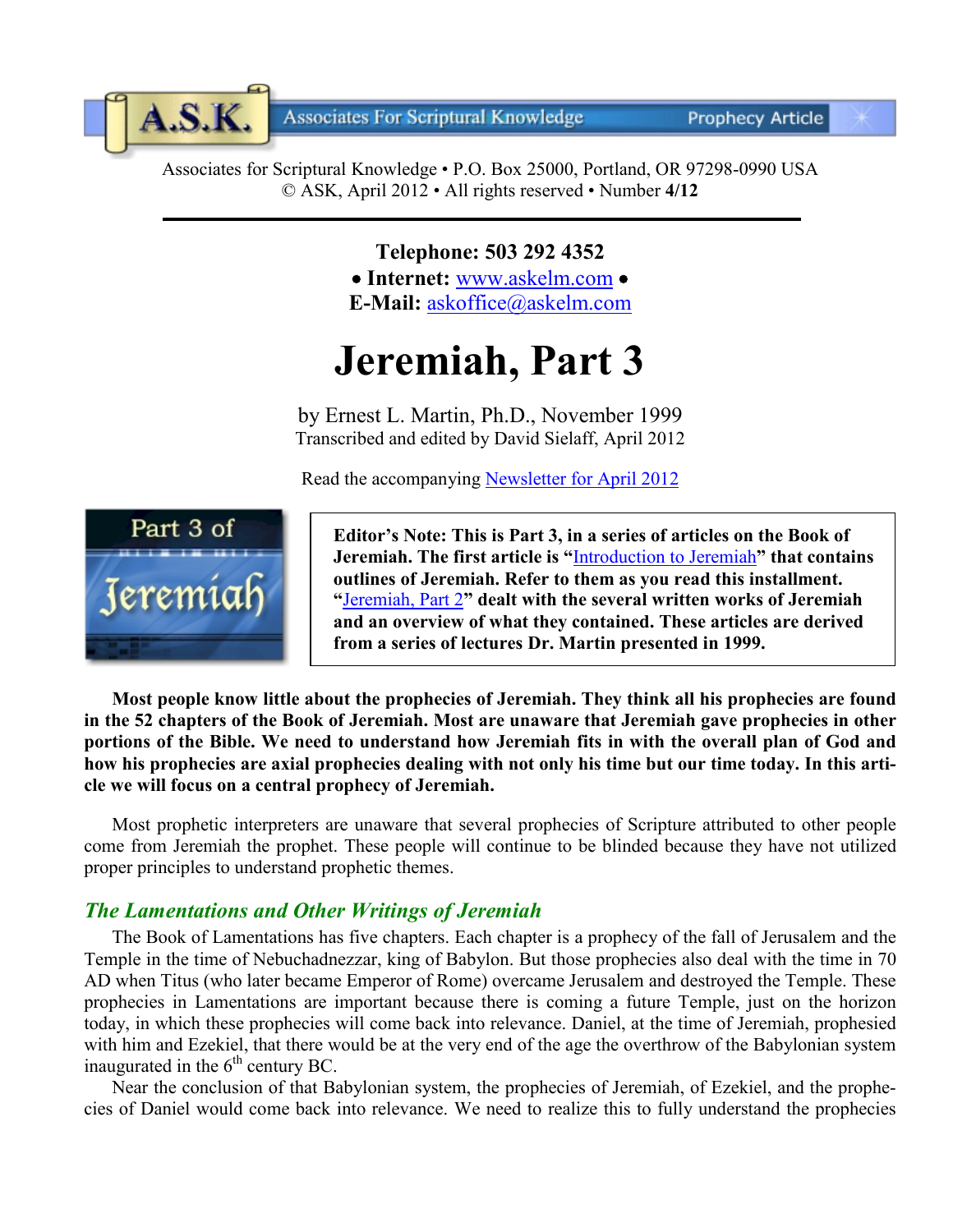**Associates For Scriptural Knowledge** 

**Prophecy Article** 

Associates for Scriptural Knowledge • P.O. Box 25000, Portland, OR 97298-0990 USA © ASK, April 2012 • All rights reserved • Number **4/12**

> **Telephone: 503 292 4352** • **Internet:** [www.askelm.com](http://www.askelm.com/) • **E-Mail:** [askoffice@askelm.com](mailto:askoffice@askelm.com)

# **Jeremiah, Part 3**

by Ernest L. Martin, Ph.D., November 1999 Transcribed and edited by David Sielaff, April 2012

Read the accompanying [Newsletter for](http://www.askelm.com/newsletter/l201204.pdf) April 2012



A.S.K.

**Editor's Note: This is Part 3, in a series of articles on the Book of Jeremiah. The first article is "**[Introduction to Jeremiah](http://www.askelm.com/prophecy/p101001.pdf)**" that contains outlines of Jeremiah. Refer to them as you read this installment. "**[Jeremiah, Part 2](http://www.askelm.com/prophecy/p120201.pdf)**" dealt with the several written works of Jeremiah and an overview of what they contained. These articles are derived from a series of lectures Dr. Martin presented in 1999.**

**Most people know little about the prophecies of Jeremiah. They think all his prophecies are found in the 52 chapters of the Book of Jeremiah. Most are unaware that Jeremiah gave prophecies in other portions of the Bible. We need to understand how Jeremiah fits in with the overall plan of God and how his prophecies are axial prophecies dealing with not only his time but our time today. In this article we will focus on a central prophecy of Jeremiah.**

Most prophetic interpreters are unaware that several prophecies of Scripture attributed to other people come from Jeremiah the prophet. These people will continue to be blinded because they have not utilized proper principles to understand prophetic themes.

# *The Lamentations and Other Writings of Jeremiah*

The Book of Lamentations has five chapters. Each chapter is a prophecy of the fall of Jerusalem and the Temple in the time of Nebuchadnezzar, king of Babylon. But those prophecies also deal with the time in 70 AD when Titus (who later became Emperor of Rome) overcame Jerusalem and destroyed the Temple. These prophecies in Lamentations are important because there is coming a future Temple, just on the horizon today, in which these prophecies will come back into relevance. Daniel, at the time of Jeremiah, prophesied with him and Ezekiel, that there would be at the very end of the age the overthrow of the Babylonian system inaugurated in the  $6<sup>th</sup>$  century BC.

Near the conclusion of that Babylonian system, the prophecies of Jeremiah, of Ezekiel, and the prophecies of Daniel would come back into relevance. We need to realize this to fully understand the prophecies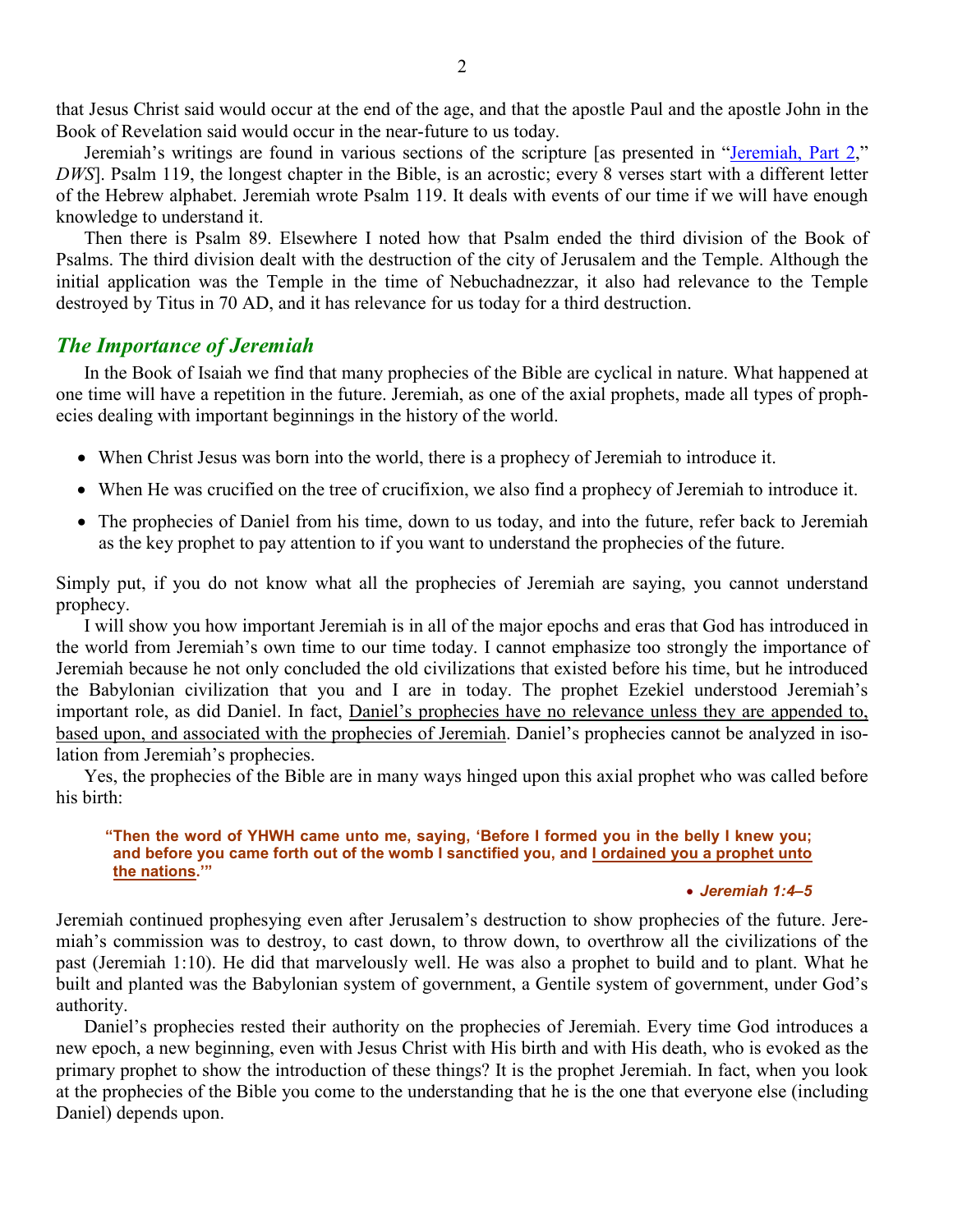that Jesus Christ said would occur at the end of the age, and that the apostle Paul and the apostle John in the Book of Revelation said would occur in the near-future to us today.

Jeremiah's writings are found in various sections of the scripture [as presented in ["Jeremiah, Part 2,](http://www.askelm.com/prophecy/p120201.pdf)" *DWS*]. Psalm 119, the longest chapter in the Bible, is an acrostic; every 8 verses start with a different letter of the Hebrew alphabet. Jeremiah wrote Psalm 119. It deals with events of our time if we will have enough knowledge to understand it.

Then there is Psalm 89. Elsewhere I noted how that Psalm ended the third division of the Book of Psalms. The third division dealt with the destruction of the city of Jerusalem and the Temple. Although the initial application was the Temple in the time of Nebuchadnezzar, it also had relevance to the Temple destroyed by Titus in 70 AD, and it has relevance for us today for a third destruction.

# *The Importance of Jeremiah*

In the Book of Isaiah we find that many prophecies of the Bible are cyclical in nature. What happened at one time will have a repetition in the future. Jeremiah, as one of the axial prophets, made all types of prophecies dealing with important beginnings in the history of the world.

- When Christ Jesus was born into the world, there is a prophecy of Jeremiah to introduce it.
- When He was crucified on the tree of crucifixion, we also find a prophecy of Jeremiah to introduce it.
- The prophecies of Daniel from his time, down to us today, and into the future, refer back to Jeremiah as the key prophet to pay attention to if you want to understand the prophecies of the future.

Simply put, if you do not know what all the prophecies of Jeremiah are saying, you cannot understand prophecy.

I will show you how important Jeremiah is in all of the major epochs and eras that God has introduced in the world from Jeremiah's own time to our time today. I cannot emphasize too strongly the importance of Jeremiah because he not only concluded the old civilizations that existed before his time, but he introduced the Babylonian civilization that you and I are in today. The prophet Ezekiel understood Jeremiah's important role, as did Daniel. In fact, Daniel's prophecies have no relevance unless they are appended to, based upon, and associated with the prophecies of Jeremiah. Daniel's prophecies cannot be analyzed in isolation from Jeremiah's prophecies.

Yes, the prophecies of the Bible are in many ways hinged upon this axial prophet who was called before his birth:

## **"Then the word of YHWH came unto me, saying, 'Before I formed you in the belly I knew you; and before you came forth out of the womb I sanctified you, and I ordained you a prophet unto the nations.'"**

## • *Jeremiah 1:4–5*

Jeremiah continued prophesying even after Jerusalem's destruction to show prophecies of the future. Jeremiah's commission was to destroy, to cast down, to throw down, to overthrow all the civilizations of the past (Jeremiah 1:10). He did that marvelously well. He was also a prophet to build and to plant. What he built and planted was the Babylonian system of government, a Gentile system of government, under God's authority.

Daniel's prophecies rested their authority on the prophecies of Jeremiah. Every time God introduces a new epoch, a new beginning, even with Jesus Christ with His birth and with His death, who is evoked as the primary prophet to show the introduction of these things? It is the prophet Jeremiah. In fact, when you look at the prophecies of the Bible you come to the understanding that he is the one that everyone else (including Daniel) depends upon.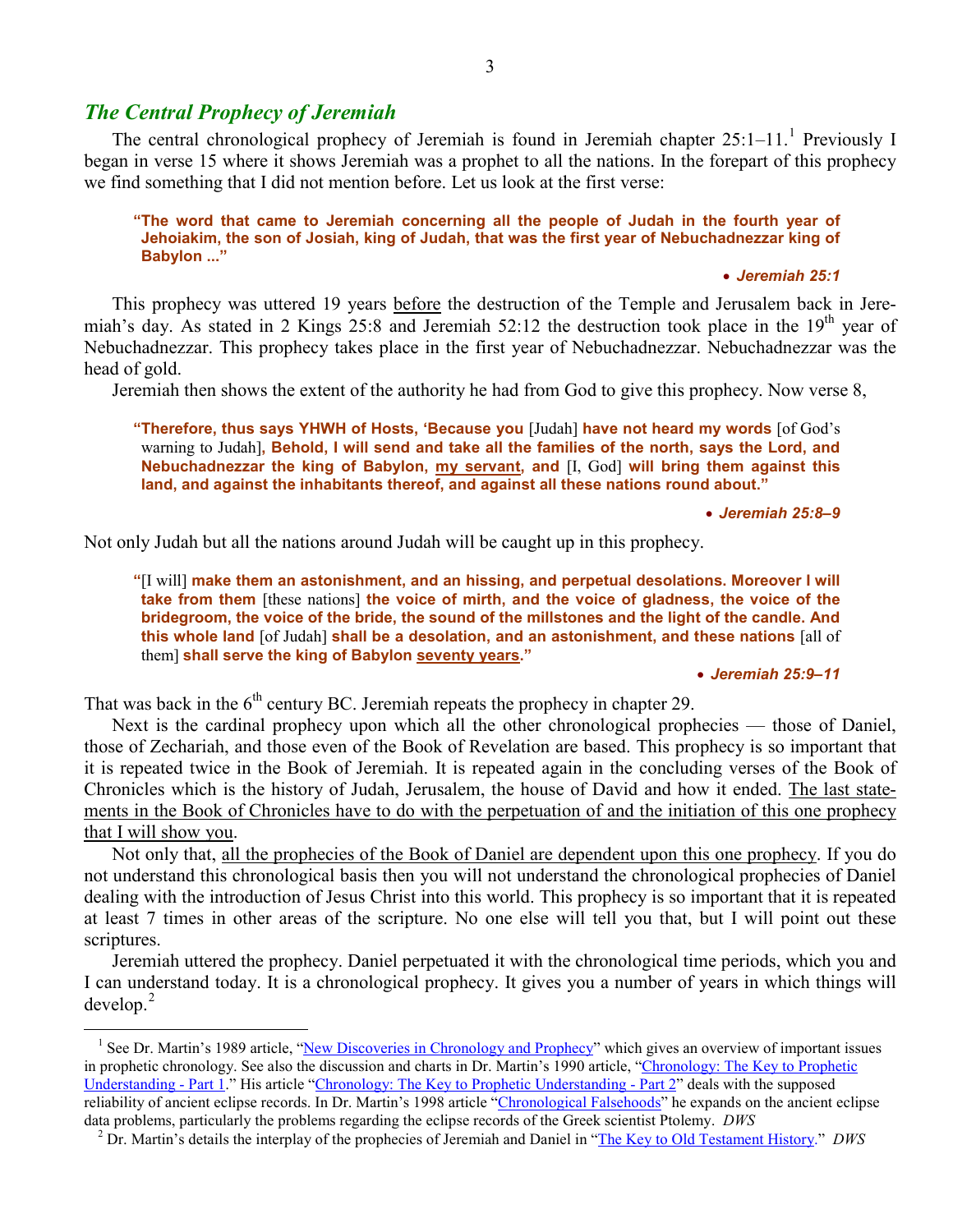# *The Central Prophecy of Jeremiah*

 $\overline{a}$ 

The central chronological prophecy of Jeremiah is found in Jeremiah chapter 25:[1](#page-2-0)-11.<sup>1</sup> Previously I began in verse 15 where it shows Jeremiah was a prophet to all the nations. In the forepart of this prophecy we find something that I did not mention before. Let us look at the first verse:

#### **"The word that came to Jeremiah concerning all the people of Judah in the fourth year of Jehoiakim, the son of Josiah, king of Judah, that was the first year of Nebuchadnezzar king of Babylon ..."**

### • *Jeremiah 25:1*

This prophecy was uttered 19 years before the destruction of the Temple and Jerusalem back in Jeremiah's day. As stated in 2 Kings  $25:8$  and Jeremiah  $52:12$  the destruction took place in the  $19<sup>th</sup>$  year of Nebuchadnezzar. This prophecy takes place in the first year of Nebuchadnezzar. Nebuchadnezzar was the head of gold.

Jeremiah then shows the extent of the authority he had from God to give this prophecy. Now verse 8,

**"Therefore, thus says YHWH of Hosts, 'Because you** [Judah] **have not heard my words** [of God's warning to Judah]**, Behold, I will send and take all the families of the north, says the Lord, and Nebuchadnezzar the king of Babylon, my servant, and** [I, God] **will bring them against this land, and against the inhabitants thereof, and against all these nations round about."**

#### • *Jeremiah 25:8–9*

Not only Judah but all the nations around Judah will be caught up in this prophecy.

**"**[I will] **make them an astonishment, and an hissing, and perpetual desolations. Moreover I will take from them** [these nations] **the voice of mirth, and the voice of gladness, the voice of the bridegroom, the voice of the bride, the sound of the millstones and the light of the candle. And this whole land** [of Judah] **shall be a desolation, and an astonishment, and these nations** [all of them] **shall serve the king of Babylon seventy years."**

#### • *Jeremiah 25:9–11*

That was back in the  $6<sup>th</sup>$  century BC. Jeremiah repeats the prophecy in chapter 29.

Next is the cardinal prophecy upon which all the other chronological prophecies — those of Daniel, those of Zechariah, and those even of the Book of Revelation are based. This prophecy is so important that it is repeated twice in the Book of Jeremiah. It is repeated again in the concluding verses of the Book of Chronicles which is the history of Judah, Jerusalem, the house of David and how it ended. The last statements in the Book of Chronicles have to do with the perpetuation of and the initiation of this one prophecy that I will show you.

Not only that, all the prophecies of the Book of Daniel are dependent upon this one prophecy. If you do not understand this chronological basis then you will not understand the chronological prophecies of Daniel dealing with the introduction of Jesus Christ into this world. This prophecy is so important that it is repeated at least 7 times in other areas of the scripture. No one else will tell you that, but I will point out these scriptures.

Jeremiah uttered the prophecy. Daniel perpetuated it with the chronological time periods, which you and I can understand today. It is a chronological prophecy. It gives you a number of years in which things will develop.[2](#page-2-1)

<span id="page-2-0"></span><sup>&</sup>lt;sup>1</sup> See Dr. Martin's 1989 article, ["New Discoveries in Chronology and Prophecy"](http://www.askelm.com/prophecy/p021102.htm) which gives an overview of important issues in prophetic chronology. See also the discussion and charts in Dr. Martin's 1990 article, ["Chronology: The Key to Prophetic](http://www.askelm.com/prophecy/p900901.htm)  [Understanding](http://www.askelm.com/prophecy/p900901.htm) - Part 1." His article ["Chronology: The Key to Prophetic Understanding](http://www.askelm.com/prophecy/p900902.htm) - Part 2" deals with the supposed reliability of ancient eclipse records. In Dr. Martin's 1998 article ["Chronological Falsehoods"](http://askelm.com/prophecy/p980304.htm) he expands on the ancient eclipse data problems, particularly the problems regarding the eclipse records of the Greek scientis

<span id="page-2-1"></span> $^2$  Dr. Martin's details the interplay of the prophecies of Jeremiah and Daniel in ["The Key to Old Testament](http://www.askelm.com/prophecy/p081001.htm) History." DWS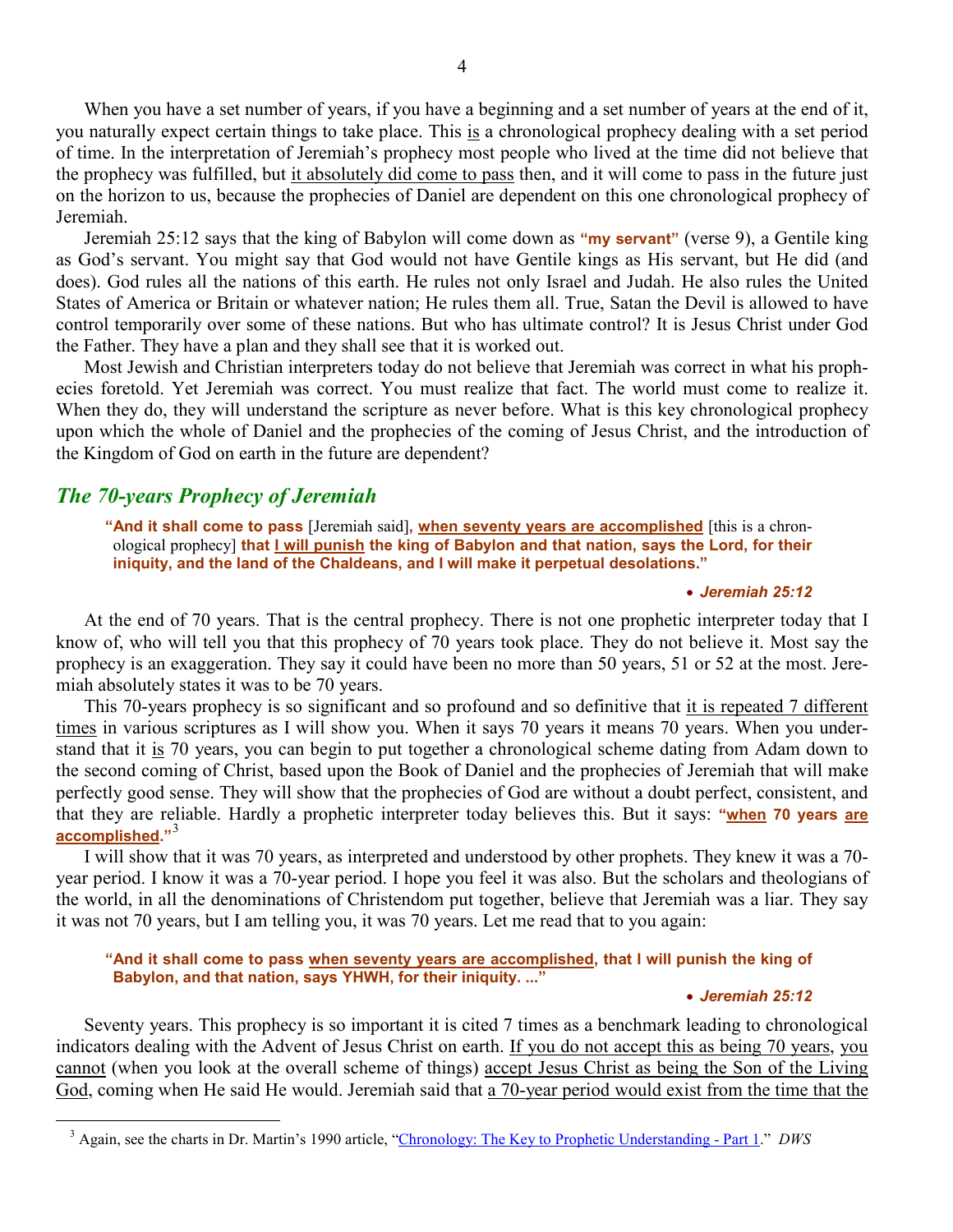When you have a set number of years, if you have a beginning and a set number of years at the end of it, you naturally expect certain things to take place. This is a chronological prophecy dealing with a set period of time. In the interpretation of Jeremiah's prophecy most people who lived at the time did not believe that the prophecy was fulfilled, but it absolutely did come to pass then, and it will come to pass in the future just on the horizon to us, because the prophecies of Daniel are dependent on this one chronological prophecy of Jeremiah.

Jeremiah 25:12 says that the king of Babylon will come down as **"my servant"** (verse 9), a Gentile king as God's servant. You might say that God would not have Gentile kings as His servant, but He did (and does). God rules all the nations of this earth. He rules not only Israel and Judah. He also rules the United States of America or Britain or whatever nation; He rules them all. True, Satan the Devil is allowed to have control temporarily over some of these nations. But who has ultimate control? It is Jesus Christ under God the Father. They have a plan and they shall see that it is worked out.

Most Jewish and Christian interpreters today do not believe that Jeremiah was correct in what his prophecies foretold. Yet Jeremiah was correct. You must realize that fact. The world must come to realize it. When they do, they will understand the scripture as never before. What is this key chronological prophecy upon which the whole of Daniel and the prophecies of the coming of Jesus Christ, and the introduction of the Kingdom of God on earth in the future are dependent?

# *The 70-years Prophecy of Jeremiah*

<span id="page-3-0"></span> $\overline{a}$ 

**"And it shall come to pass** [Jeremiah said]**, when seventy years are accomplished** [this is a chronological prophecy] **that I will punish the king of Babylon and that nation, says the Lord, for their iniquity, and the land of the Chaldeans, and I will make it perpetual desolations."**

#### • *Jeremiah 25:12*

At the end of 70 years. That is the central prophecy. There is not one prophetic interpreter today that I know of, who will tell you that this prophecy of 70 years took place. They do not believe it. Most say the prophecy is an exaggeration. They say it could have been no more than 50 years, 51 or 52 at the most. Jeremiah absolutely states it was to be 70 years.

This 70-years prophecy is so significant and so profound and so definitive that it is repeated 7 different times in various scriptures as I will show you. When it says 70 years it means 70 years. When you understand that it is 70 years, you can begin to put together a chronological scheme dating from Adam down to the second coming of Christ, based upon the Book of Daniel and the prophecies of Jeremiah that will make perfectly good sense. They will show that the prophecies of God are without a doubt perfect, consistent, and that they are reliable. Hardly a prophetic interpreter today believes this. But it says: **"when 70 years are accomplished."**[3](#page-3-0)

I will show that it was 70 years, as interpreted and understood by other prophets. They knew it was a 70 year period. I know it was a 70-year period. I hope you feel it was also. But the scholars and theologians of the world, in all the denominations of Christendom put together, believe that Jeremiah was a liar. They say it was not 70 years, but I am telling you, it was 70 years. Let me read that to you again:

## **"And it shall come to pass when seventy years are accomplished, that I will punish the king of Babylon, and that nation, says YHWH, for their iniquity. ..."**

#### • *Jeremiah 25:12*

Seventy years. This prophecy is so important it is cited 7 times as a benchmark leading to chronological indicators dealing with the Advent of Jesus Christ on earth. If you do not accept this as being 70 years, you cannot (when you look at the overall scheme of things) accept Jesus Christ as being the Son of the Living God, coming when He said He would. Jeremiah said that a 70-year period would exist from the time that the

<sup>&</sup>lt;sup>3</sup> Again, see the charts in Dr. Martin's 1990 article, ["Chronology: The Key to Prophetic Understanding](http://www.askelm.com/prophecy/p900901.htm) - Part 1." *DWS*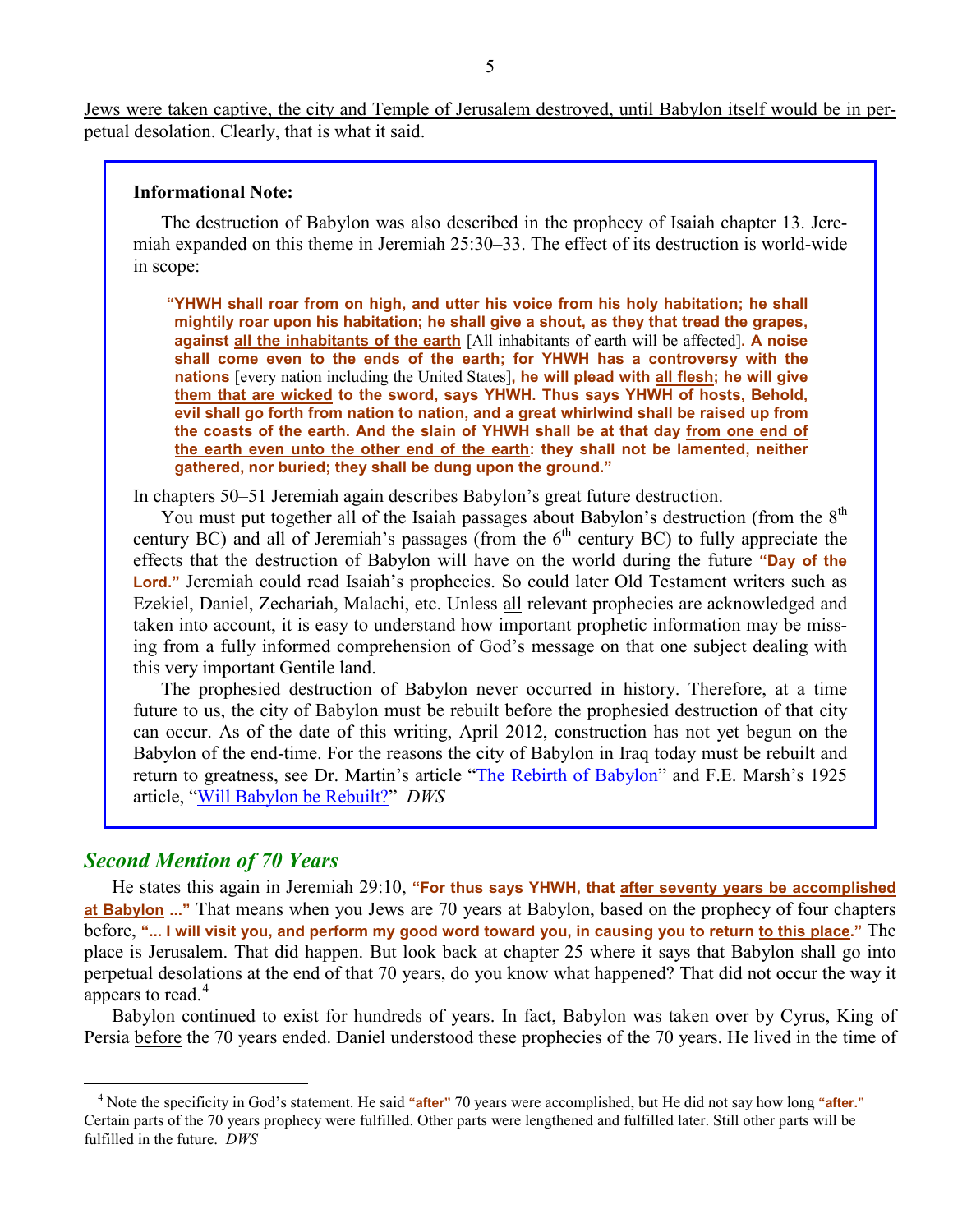Jews were taken captive, the city and Temple of Jerusalem destroyed, until Babylon itself would be in perpetual desolation. Clearly, that is what it said.

## **Informational Note:**

The destruction of Babylon was also described in the prophecy of Isaiah chapter 13. Jeremiah expanded on this theme in Jeremiah 25:30–33. The effect of its destruction is world-wide in scope:

**"YHWH shall roar from on high, and utter his voice from his holy habitation; he shall mightily roar upon his habitation; he shall give a shout, as they that tread the grapes, against all the inhabitants of the earth** [All inhabitants of earth will be affected]**. A noise shall come even to the ends of the earth; for YHWH has a controversy with the nations** [every nation including the United States]**, he will plead with all flesh; he will give them that are wicked to the sword, says YHWH. Thus says YHWH of hosts, Behold, evil shall go forth from nation to nation, and a great whirlwind shall be raised up from the coasts of the earth. And the slain of YHWH shall be at that day from one end of the earth even unto the other end of the earth: they shall not be lamented, neither gathered, nor buried; they shall be dung upon the ground."**

In chapters 50–51 Jeremiah again describes Babylon's great future destruction.

You must put together all of the Isaiah passages about Babylon's destruction (from the 8<sup>th</sup> century BC) and all of Jeremiah's passages (from the  $6<sup>th</sup>$  century BC) to fully appreciate the effects that the destruction of Babylon will have on the world during the future **"Day of the**  Lord." Jeremiah could read Isaiah's prophecies. So could later Old Testament writers such as Ezekiel, Daniel, Zechariah, Malachi, etc. Unless all relevant prophecies are acknowledged and taken into account, it is easy to understand how important prophetic information may be missing from a fully informed comprehension of God's message on that one subject dealing with this very important Gentile land.

The prophesied destruction of Babylon never occurred in history. Therefore, at a time future to us, the city of Babylon must be rebuilt before the prophesied destruction of that city can occur. As of the date of this writing, April 2012, construction has not yet begun on the Babylon of the end-time. For the reasons the city of Babylon in Iraq today must be rebuilt and return to greatness, see Dr. Martin's article ["The Rebirth of Babylon"](http://www.askelm.com/prophecy/p021001.htm) and F.E. Marsh's 1925 article, "[Will Babylon be Rebuilt?](http://www.askelm.com/prophecy/p021002.htm)" *DWS*

## *Second Mention of 70 Years*

 $\overline{a}$ 

He states this again in Jeremiah 29:10, **"For thus says YHWH, that after seventy years be accomplished at Babylon ..."** That means when you Jews are 70 years at Babylon, based on the prophecy of four chapters before, **"... I will visit you, and perform my good word toward you, in causing you to return to this place."** The place is Jerusalem. That did happen. But look back at chapter 25 where it says that Babylon shall go into perpetual desolations at the end of that 70 years, do you know what happened? That did not occur the way it appears to read.<sup>[4](#page-4-0)</sup>

Babylon continued to exist for hundreds of years. In fact, Babylon was taken over by Cyrus, King of Persia before the 70 years ended. Daniel understood these prophecies of the 70 years. He lived in the time of

<span id="page-4-0"></span><sup>4</sup> Note the specificity in God's statement. He said **"after"** 70 years were accomplished, but He did not say how long **"after."** Certain parts of the 70 years prophecy were fulfilled. Other parts were lengthened and fulfilled later. Still other parts will be fulfilled in the future. *DWS*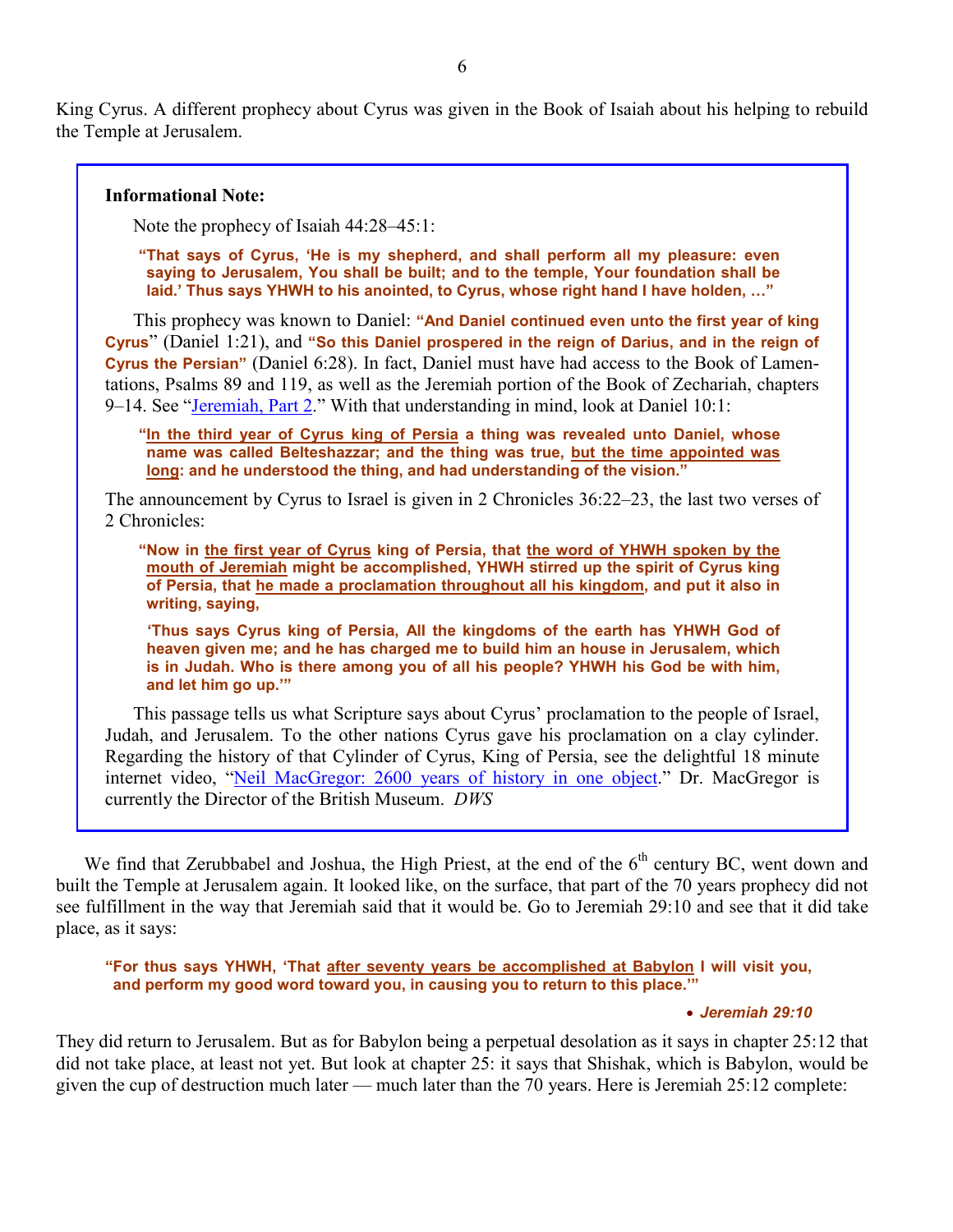King Cyrus. A different prophecy about Cyrus was given in the Book of Isaiah about his helping to rebuild the Temple at Jerusalem.

## **Informational Note:**

Note the prophecy of Isaiah 44:28–45:1:

**"That says of Cyrus, 'He is my shepherd, and shall perform all my pleasure: even saying to Jerusalem, You shall be built; and to the temple, Your foundation shall be laid.' Thus says YHWH to his anointed, to Cyrus, whose right hand I have holden, …"**

This prophecy was known to Daniel: **"And Daniel continued even unto the first year of king Cyrus**" (Daniel 1:21), and **"So this Daniel prospered in the reign of Darius, and in the reign of Cyrus the Persian"** (Daniel 6:28). In fact, Daniel must have had access to the Book of Lamentations, Psalms 89 and 119, as well as the Jeremiah portion of the Book of Zechariah, chapters 9–14. See "[Jeremiah, Part 2](http://www.askelm.com/prophecy/p120201.pdf)." With that understanding in mind, look at Daniel 10:1:

**"In the third year of Cyrus king of Persia a thing was revealed unto Daniel, whose name was called Belteshazzar; and the thing was true, but the time appointed was long: and he understood the thing, and had understanding of the vision."**

The announcement by Cyrus to Israel is given in 2 Chronicles 36:22–23, the last two verses of 2 Chronicles:

**"Now in the first year of Cyrus king of Persia, that the word of YHWH spoken by the mouth of Jeremiah might be accomplished, YHWH stirred up the spirit of Cyrus king of Persia, that he made a proclamation throughout all his kingdom, and put it also in writing, saying,** 

**'Thus says Cyrus king of Persia, All the kingdoms of the earth has YHWH God of heaven given me; and he has charged me to build him an house in Jerusalem, which is in Judah. Who is there among you of all his people? YHWH his God be with him, and let him go up.'"**

This passage tells us what Scripture says about Cyrus' proclamation to the people of Israel, Judah, and Jerusalem. To the other nations Cyrus gave his proclamation on a clay cylinder. Regarding the history of that Cylinder of Cyrus, King of Persia, see the delightful 18 minute internet video, ["Neil MacGregor: 2600 years of history in one object.](http://www.ted.com/talks/neil_macgregor_2600_years_of_history_in_one_object.html)" Dr. MacGregor is currently the Director of the British Museum. *DWS*

We find that Zerubbabel and Joshua, the High Priest, at the end of the 6<sup>th</sup> century BC, went down and built the Temple at Jerusalem again. It looked like, on the surface, that part of the 70 years prophecy did not see fulfillment in the way that Jeremiah said that it would be. Go to Jeremiah 29:10 and see that it did take place, as it says:

**"For thus says YHWH, 'That after seventy years be accomplished at Babylon I will visit you, and perform my good word toward you, in causing you to return to this place.'"**

#### • *Jeremiah 29:10*

They did return to Jerusalem. But as for Babylon being a perpetual desolation as it says in chapter 25:12 that did not take place, at least not yet. But look at chapter 25: it says that Shishak, which is Babylon, would be given the cup of destruction much later — much later than the 70 years. Here is Jeremiah 25:12 complete: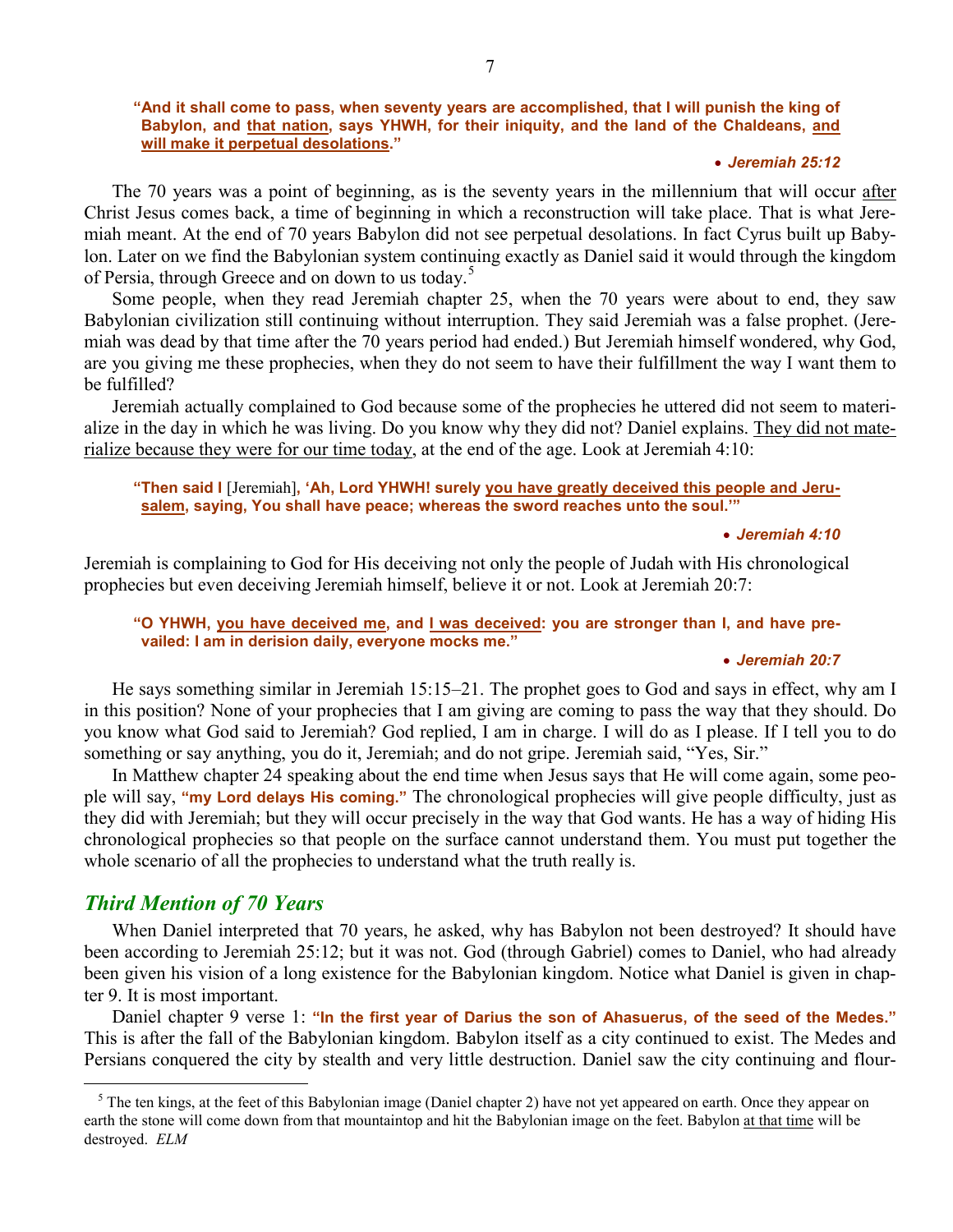#### **"And it shall come to pass, when seventy years are accomplished, that I will punish the king of Babylon, and that nation, says YHWH, for their iniquity, and the land of the Chaldeans, and will make it perpetual desolations."**

## • *Jeremiah 25:12*

The 70 years was a point of beginning, as is the seventy years in the millennium that will occur after Christ Jesus comes back, a time of beginning in which a reconstruction will take place. That is what Jeremiah meant. At the end of 70 years Babylon did not see perpetual desolations. In fact Cyrus built up Babylon. Later on we find the Babylonian system continuing exactly as Daniel said it would through the kingdom of Persia, through Greece and on down to us today.<sup>[5](#page-6-0)</sup>

Some people, when they read Jeremiah chapter 25, when the 70 years were about to end, they saw Babylonian civilization still continuing without interruption. They said Jeremiah was a false prophet. (Jeremiah was dead by that time after the 70 years period had ended.) But Jeremiah himself wondered, why God, are you giving me these prophecies, when they do not seem to have their fulfillment the way I want them to be fulfilled?

Jeremiah actually complained to God because some of the prophecies he uttered did not seem to materialize in the day in which he was living. Do you know why they did not? Daniel explains. They did not materialize because they were for our time today, at the end of the age. Look at Jeremiah  $4:10$ :

## **"Then said I** [Jeremiah]**, 'Ah, Lord YHWH! surely you have greatly deceived this people and Jerusalem, saying, You shall have peace; whereas the sword reaches unto the soul.'"**

#### • *Jeremiah 4:10*

Jeremiah is complaining to God for His deceiving not only the people of Judah with His chronological prophecies but even deceiving Jeremiah himself, believe it or not. Look at Jeremiah 20:7:

## **"O YHWH, you have deceived me, and I was deceived: you are stronger than I, and have prevailed: I am in derision daily, everyone mocks me."**

## • *Jeremiah 20:7*

He says something similar in Jeremiah 15:15–21. The prophet goes to God and says in effect, why am I in this position? None of your prophecies that I am giving are coming to pass the way that they should. Do you know what God said to Jeremiah? God replied, I am in charge. I will do as I please. If I tell you to do something or say anything, you do it, Jeremiah; and do not gripe. Jeremiah said, "Yes, Sir."

In Matthew chapter 24 speaking about the end time when Jesus says that He will come again, some people will say, **"my Lord delays His coming."** The chronological prophecies will give people difficulty, just as they did with Jeremiah; but they will occur precisely in the way that God wants. He has a way of hiding His chronological prophecies so that people on the surface cannot understand them. You must put together the whole scenario of all the prophecies to understand what the truth really is.

# *Third Mention of 70 Years*

 $\overline{a}$ 

When Daniel interpreted that 70 years, he asked, why has Babylon not been destroyed? It should have been according to Jeremiah 25:12; but it was not. God (through Gabriel) comes to Daniel, who had already been given his vision of a long existence for the Babylonian kingdom. Notice what Daniel is given in chapter 9. It is most important.

Daniel chapter 9 verse 1: **"In the first year of Darius the son of Ahasuerus, of the seed of the Medes."** This is after the fall of the Babylonian kingdom. Babylon itself as a city continued to exist. The Medes and Persians conquered the city by stealth and very little destruction. Daniel saw the city continuing and flour-

<span id="page-6-0"></span> $<sup>5</sup>$  The ten kings, at the feet of this Babylonian image (Daniel chapter 2) have not yet appeared on earth. Once they appear on</sup> earth the stone will come down from that mountaintop and hit the Babylonian image on the feet. Babylon at that time will be destroyed. *ELM*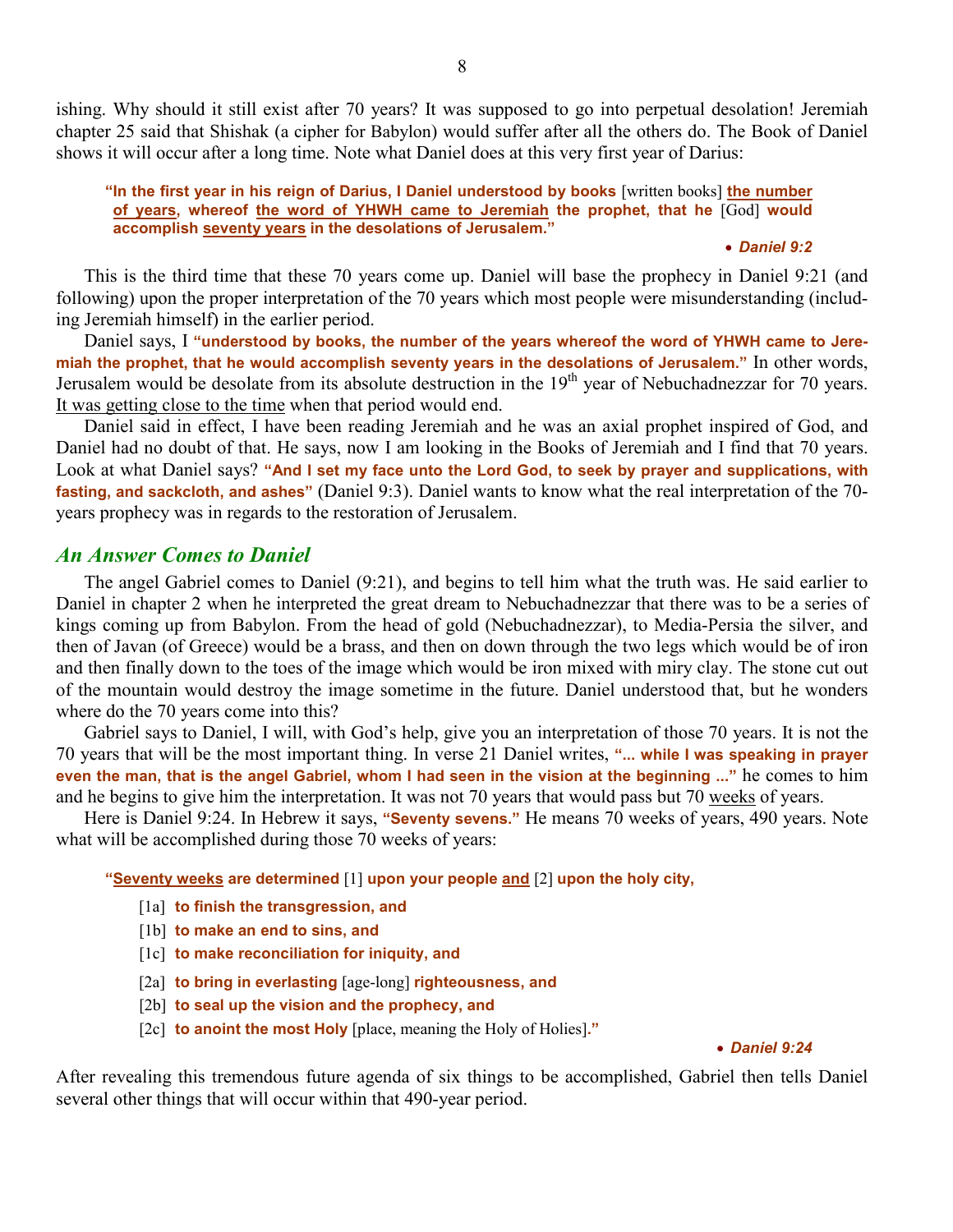ishing. Why should it still exist after 70 years? It was supposed to go into perpetual desolation! Jeremiah chapter 25 said that Shishak (a cipher for Babylon) would suffer after all the others do. The Book of Daniel shows it will occur after a long time. Note what Daniel does at this very first year of Darius:

### **"In the first year in his reign of Darius, I Daniel understood by books** [written books] **the number of years, whereof the word of YHWH came to Jeremiah the prophet, that he** [God] **would accomplish seventy years in the desolations of Jerusalem."**

#### • *Daniel 9:2*

This is the third time that these 70 years come up. Daniel will base the prophecy in Daniel 9:21 (and following) upon the proper interpretation of the 70 years which most people were misunderstanding (including Jeremiah himself) in the earlier period.

Daniel says, I **"understood by books, the number of the years whereof the word of YHWH came to Jeremiah the prophet, that he would accomplish seventy years in the desolations of Jerusalem."** In other words, Jerusalem would be desolate from its absolute destruction in the 19<sup>th</sup> year of Nebuchadnezzar for 70 years. It was getting close to the time when that period would end.

Daniel said in effect, I have been reading Jeremiah and he was an axial prophet inspired of God, and Daniel had no doubt of that. He says, now I am looking in the Books of Jeremiah and I find that 70 years. Look at what Daniel says? **"And I set my face unto the Lord God, to seek by prayer and supplications, with fasting, and sackcloth, and ashes"** (Daniel 9:3). Daniel wants to know what the real interpretation of the 70 years prophecy was in regards to the restoration of Jerusalem.

## *An Answer Comes to Daniel*

The angel Gabriel comes to Daniel (9:21), and begins to tell him what the truth was. He said earlier to Daniel in chapter 2 when he interpreted the great dream to Nebuchadnezzar that there was to be a series of kings coming up from Babylon. From the head of gold (Nebuchadnezzar), to Media-Persia the silver, and then of Javan (of Greece) would be a brass, and then on down through the two legs which would be of iron and then finally down to the toes of the image which would be iron mixed with miry clay. The stone cut out of the mountain would destroy the image sometime in the future. Daniel understood that, but he wonders where do the 70 years come into this?

Gabriel says to Daniel, I will, with God's help, give you an interpretation of those 70 years. It is not the 70 years that will be the most important thing. In verse 21 Daniel writes, **"... while I was speaking in prayer even the man, that is the angel Gabriel, whom I had seen in the vision at the beginning ..."** he comes to him and he begins to give him the interpretation. It was not 70 years that would pass but 70 weeks of years.

Here is Daniel 9:24. In Hebrew it says, **"Seventy sevens."** He means 70 weeks of years, 490 years. Note what will be accomplished during those 70 weeks of years:

**"Seventy weeks are determined** [1] **upon your people and** [2] **upon the holy city,**

- [1a] **to finish the transgression, and**
- [1b] **to make an end to sins, and**
- [1c] **to make reconciliation for iniquity, and**
- [2a] **to bring in everlasting** [age-long] **righteousness, and**
- [2b] **to seal up the vision and the prophecy, and**
- [2c] **to anoint the most Holy** [place, meaning the Holy of Holies]**."**

#### • *Daniel 9:24*

After revealing this tremendous future agenda of six things to be accomplished, Gabriel then tells Daniel several other things that will occur within that 490-year period.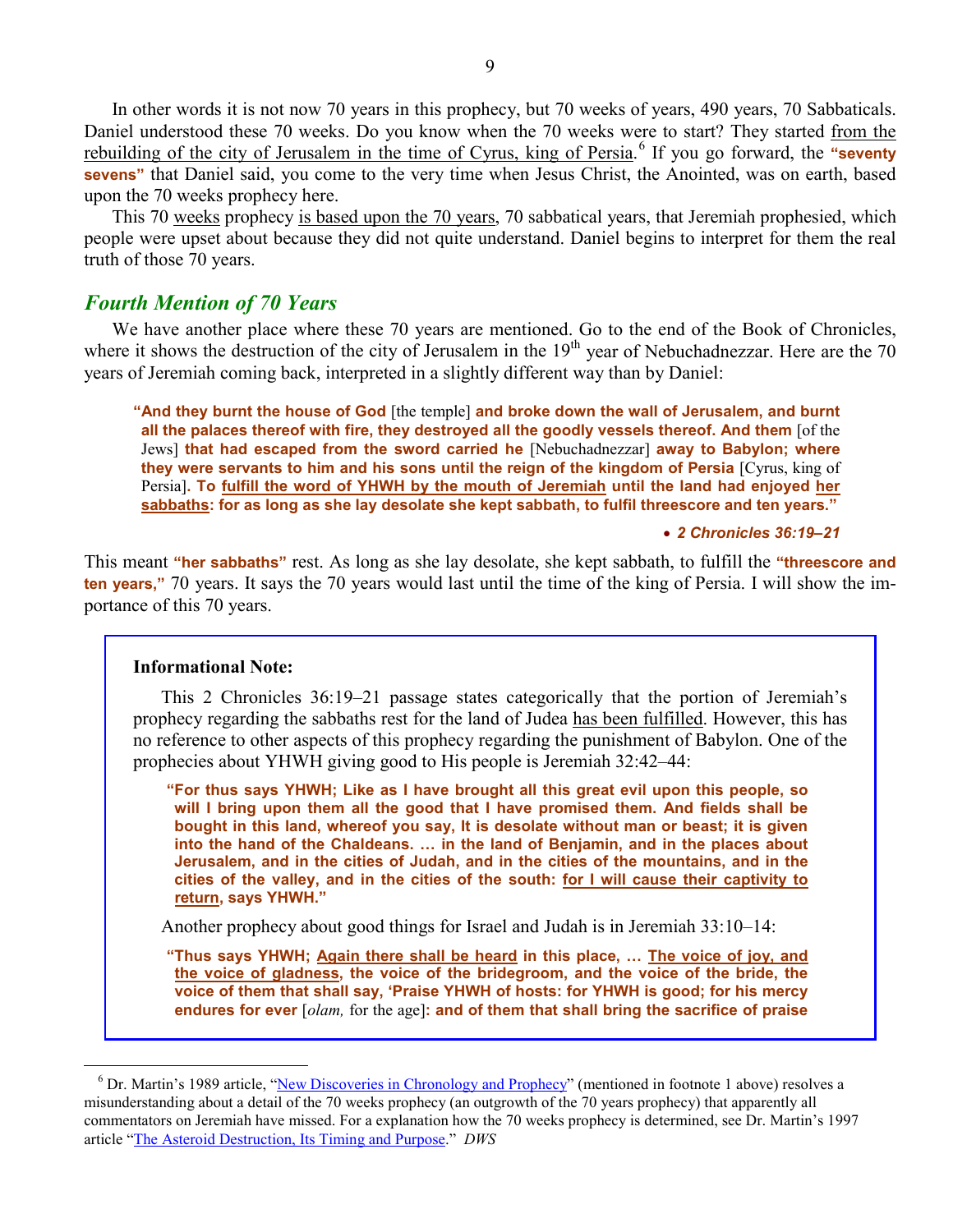In other words it is not now 70 years in this prophecy, but 70 weeks of years, 490 years, 70 Sabbaticals. Daniel understood these 70 weeks. Do you know when the 70 weeks were to start? They started from the rebuilding of the city of Jerusalem in the time of Cyrus, king of Persia. [6](#page-8-0) If you go forward, the **"seventy sevens**" that Daniel said, you come to the very time when Jesus Christ, the Anointed, was on earth, based upon the 70 weeks prophecy here.

This 70 weeks prophecy is based upon the 70 years, 70 sabbatical years, that Jeremiah prophesied, which people were upset about because they did not quite understand. Daniel begins to interpret for them the real truth of those 70 years.

# *Fourth Mention of 70 Years*

We have another place where these 70 years are mentioned. Go to the end of the Book of Chronicles, where it shows the destruction of the city of Jerusalem in the 19<sup>th</sup> year of Nebuchadnezzar. Here are the 70 years of Jeremiah coming back, interpreted in a slightly different way than by Daniel:

**"And they burnt the house of God** [the temple] **and broke down the wall of Jerusalem, and burnt all the palaces thereof with fire, they destroyed all the goodly vessels thereof. And them** [of the Jews] **that had escaped from the sword carried he** [Nebuchadnezzar] **away to Babylon; where they were servants to him and his sons until the reign of the kingdom of Persia** [Cyrus, king of Persia]**. To fulfill the word of YHWH by the mouth of Jeremiah until the land had enjoyed her sabbaths: for as long as she lay desolate she kept sabbath, to fulfil threescore and ten years."**

• *2 Chronicles 36:19–21*

This meant **"her sabbaths"** rest. As long as she lay desolate, she kept sabbath, to fulfill the **"threescore and ten years,"** 70 years. It says the 70 years would last until the time of the king of Persia. I will show the importance of this 70 years.

## **Informational Note:**

 $\overline{a}$ 

This 2 Chronicles 36:19–21 passage states categorically that the portion of Jeremiah's prophecy regarding the sabbaths rest for the land of Judea has been fulfilled. However, this has no reference to other aspects of this prophecy regarding the punishment of Babylon. One of the prophecies about YHWH giving good to His people is Jeremiah 32:42–44:

**"For thus says YHWH; Like as I have brought all this great evil upon this people, so will I bring upon them all the good that I have promised them. And fields shall be bought in this land, whereof you say, It is desolate without man or beast; it is given into the hand of the Chaldeans. … in the land of Benjamin, and in the places about Jerusalem, and in the cities of Judah, and in the cities of the mountains, and in the cities of the valley, and in the cities of the south: for I will cause their captivity to return, says YHWH."**

Another prophecy about good things for Israel and Judah is in Jeremiah 33:10–14:

**"Thus says YHWH; Again there shall be heard in this place, … The voice of joy, and the voice of gladness, the voice of the bridegroom, and the voice of the bride, the voice of them that shall say, 'Praise YHWH of hosts: for YHWH is good; for his mercy endures for ever** [*olam,* for the age]**: and of them that shall bring the sacrifice of praise** 

<span id="page-8-0"></span><sup>&</sup>lt;sup>6</sup> Dr. Martin's 1989 article, "<u>New Discoveries in Chronology and Prophecy</u>" (mentioned in footnote 1 above) resolves a misunderstanding about a detail of the 70 weeks prophecy (an outgrowth of the 70 years prophecy) that apparently all commentators on Jeremiah have missed. For a explanation how the 70 weeks prophecy is determined, see Dr. Martin's 1997 article "[The Asteroid Destruction, Its Timing and Purpose.](http://www.askelm.com/prophecy/p971105.htm)" *DWS*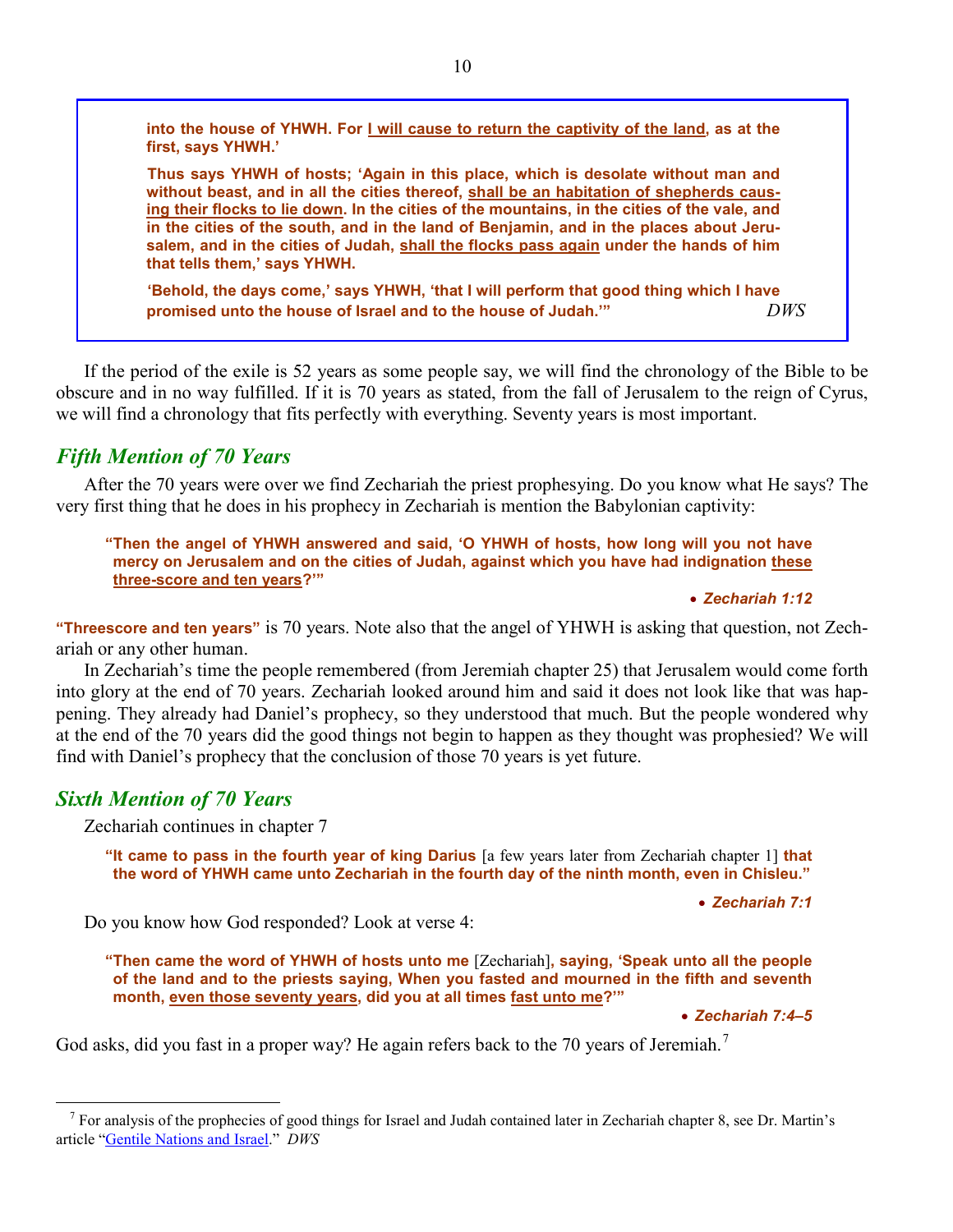into the house of YHWH. For I will cause to return the captivity of the land, as at the **first, says YHWH.'**

**Thus says YHWH of hosts; 'Again in this place, which is desolate without man and without beast, and in all the cities thereof, shall be an habitation of shepherds causing their flocks to lie down. In the cities of the mountains, in the cities of the vale, and in the cities of the south, and in the land of Benjamin, and in the places about Jerusalem, and in the cities of Judah, shall the flocks pass again under the hands of him that tells them,' says YHWH.**

**'Behold, the days come,' says YHWH, 'that I will perform that good thing which I have promised unto the house of Israel and to the house of Judah.'"** *DWS*

If the period of the exile is 52 years as some people say, we will find the chronology of the Bible to be obscure and in no way fulfilled. If it is 70 years as stated, from the fall of Jerusalem to the reign of Cyrus, we will find a chronology that fits perfectly with everything. Seventy years is most important.

# *Fifth Mention of 70 Years*

After the 70 years were over we find Zechariah the priest prophesying. Do you know what He says? The very first thing that he does in his prophecy in Zechariah is mention the Babylonian captivity:

**"Then the angel of YHWH answered and said, 'O YHWH of hosts, how long will you not have mercy on Jerusalem and on the cities of Judah, against which you have had indignation these three-score and ten years?'"**

#### • *Zechariah 1:12*

**"Threescore and ten years"** is 70 years. Note also that the angel of YHWH is asking that question, not Zechariah or any other human.

In Zechariah's time the people remembered (from Jeremiah chapter 25) that Jerusalem would come forth into glory at the end of 70 years. Zechariah looked around him and said it does not look like that was happening. They already had Daniel's prophecy, so they understood that much. But the people wondered why at the end of the 70 years did the good things not begin to happen as they thought was prophesied? We will find with Daniel's prophecy that the conclusion of those 70 years is yet future.

# *Sixth Mention of 70 Years*

 $\overline{a}$ 

Zechariah continues in chapter 7

**"It came to pass in the fourth year of king Darius** [a few years later from Zechariah chapter 1] **that the word of YHWH came unto Zechariah in the fourth day of the ninth month, even in Chisleu."**

• *Zechariah 7:1*

Do you know how God responded? Look at verse 4:

**"Then came the word of YHWH of hosts unto me** [Zechariah]**, saying, 'Speak unto all the people of the land and to the priests saying, When you fasted and mourned in the fifth and seventh month, even those seventy years, did you at all times fast unto me?'"**

• *Zechariah 7:4–5*

God asks, did you fast in a proper way? He again refers back to the [7](#page-9-0)0 years of Jeremiah.<sup>7</sup>

<span id="page-9-0"></span><sup>&</sup>lt;sup>7</sup> For analysis of the prophecies of good things for Israel and Judah contained later in Zechariah chapter 8, see Dr. Martin's article "[Gentile Nations and Israel.](http://www.askelm.com/prophecy/p080301.htm)" *DWS*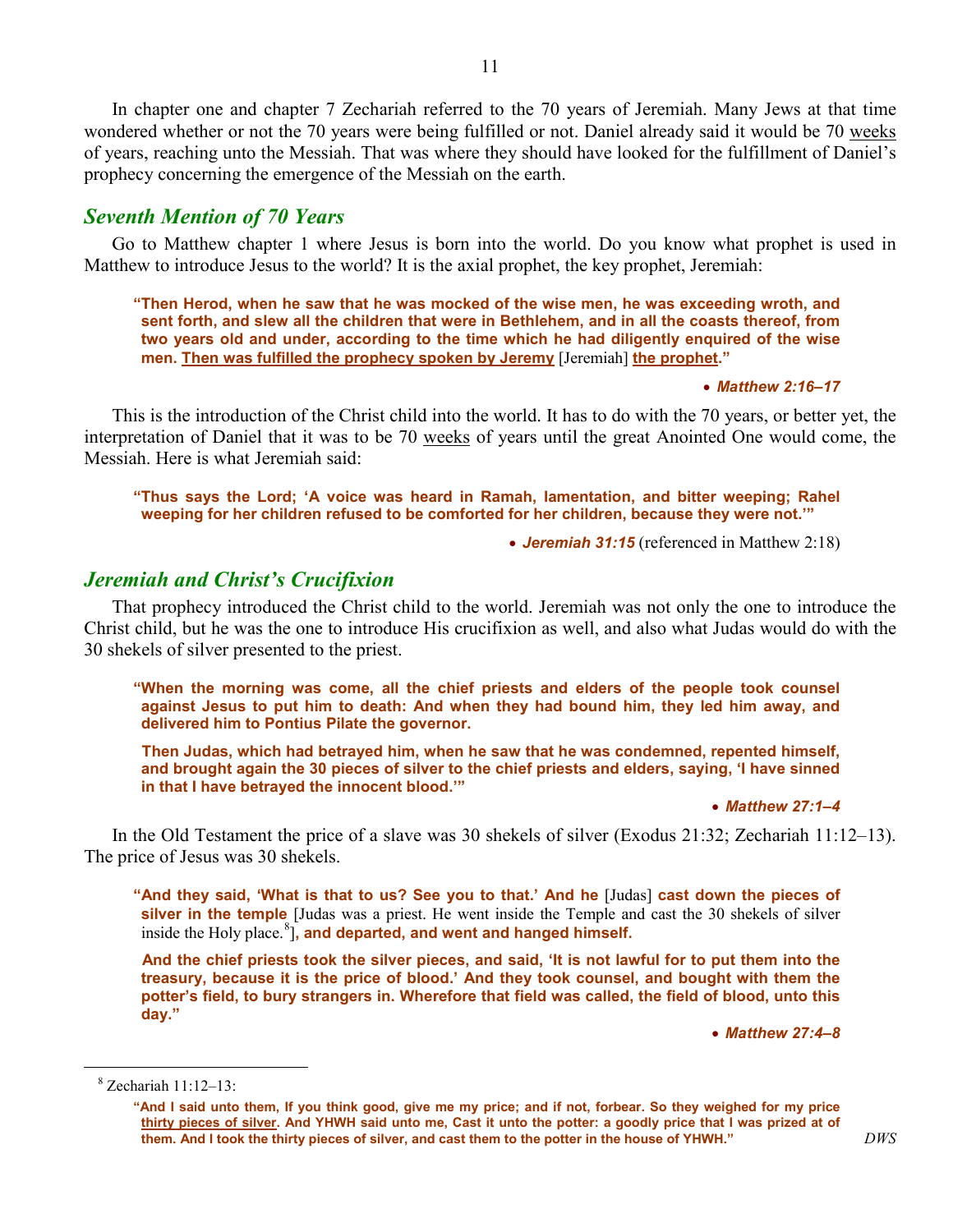In chapter one and chapter 7 Zechariah referred to the 70 years of Jeremiah. Many Jews at that time wondered whether or not the 70 years were being fulfilled or not. Daniel already said it would be 70 weeks of years, reaching unto the Messiah. That was where they should have looked for the fulfillment of Daniel's prophecy concerning the emergence of the Messiah on the earth.

# *Seventh Mention of 70 Years*

Go to Matthew chapter 1 where Jesus is born into the world. Do you know what prophet is used in Matthew to introduce Jesus to the world? It is the axial prophet, the key prophet, Jeremiah:

**"Then Herod, when he saw that he was mocked of the wise men, he was exceeding wroth, and sent forth, and slew all the children that were in Bethlehem, and in all the coasts thereof, from two years old and under, according to the time which he had diligently enquired of the wise men. Then was fulfilled the prophecy spoken by Jeremy** [Jeremiah] **the prophet."**

#### • *Matthew 2:16–17*

This is the introduction of the Christ child into the world. It has to do with the 70 years, or better yet, the interpretation of Daniel that it was to be 70 weeks of years until the great Anointed One would come, the Messiah. Here is what Jeremiah said:

**"Thus says the Lord; 'A voice was heard in Ramah, lamentation, and bitter weeping; Rahel weeping for her children refused to be comforted for her children, because they were not.'"**

• *Jeremiah 31:15* (referenced in Matthew 2:18)

# *Jeremiah and Christ's Crucifixion*

That prophecy introduced the Christ child to the world. Jeremiah was not only the one to introduce the Christ child, but he was the one to introduce His crucifixion as well, and also what Judas would do with the 30 shekels of silver presented to the priest.

**"When the morning was come, all the chief priests and elders of the people took counsel against Jesus to put him to death: And when they had bound him, they led him away, and delivered him to Pontius Pilate the governor.**

**Then Judas, which had betrayed him, when he saw that he was condemned, repented himself, and brought again the 30 pieces of silver to the chief priests and elders, saying, 'I have sinned in that I have betrayed the innocent blood.'"**

• *Matthew 27:1–4*

In the Old Testament the price of a slave was 30 shekels of silver (Exodus 21:32; Zechariah 11:12–13). The price of Jesus was 30 shekels.

**"And they said, 'What is that to us? See you to that.' And he** [Judas] **cast down the pieces of silver in the temple** [Judas was a priest. He went inside the Temple and cast the 30 shekels of silver inside the Holy place.<sup>[8](#page-10-0)</sup>], and departed, and went and hanged himself.

**And the chief priests took the silver pieces, and said, 'It is not lawful for to put them into the treasury, because it is the price of blood.' And they took counsel, and bought with them the potter's field, to bury strangers in. Wherefore that field was called, the field of blood, unto this day."**

• *Matthew 27:4–8*

<span id="page-10-0"></span> $\overline{a}$ 

 $8$  Zechariah 11:12–13:

**<sup>&</sup>quot;And I said unto them, If you think good, give me my price; and if not, forbear. So they weighed for my price thirty pieces of silver. And YHWH said unto me, Cast it unto the potter: a goodly price that I was prized at of them. And I took the thirty pieces of silver, and cast them to the potter in the house of YHWH."** *DWS*